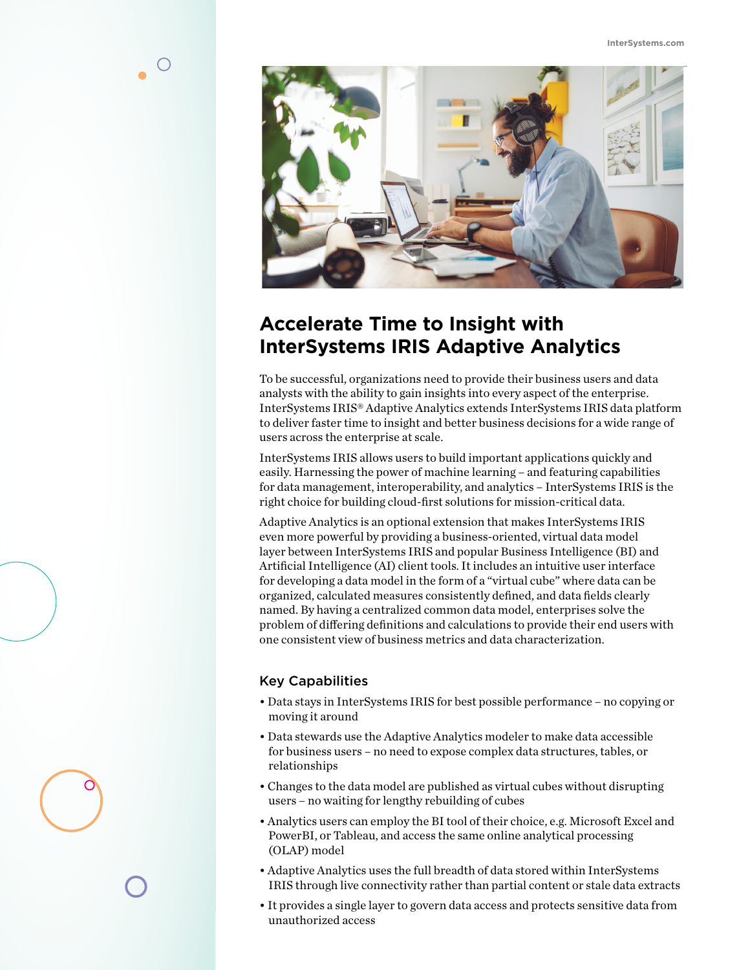

# **Accelerate Time to Insight with InterSystems IRIS Adaptive Analytics**

To be successful, organizations need to provide their business users and data analysts with the ability to gain insights into every aspect of the enterprise. InterSystems IRIS® Adaptive Analytics extends InterSystems IRIS data platform to deliver faster time to insight and better business decisions for a wide range of users across the enterprise at scale.

InterSystems IRIS allows users to build important applications quickly and easily. Harnessing the power of machine learning – and featuring capabilities for data management, interoperability, and analytics – InterSystems IRIS is the right choice for building cloud-first solutions for mission-critical data.

Adaptive Analytics is an optional extension that makes InterSystems IRIS even more powerful by providing a business-oriented, virtual data model layer between InterSystems IRIS and popular Business Intelligence (BI) and Artificial Intelligence (AI) client tools. It includes an intuitive user interface for developing a data model in the form of a "virtual cube" where data can be organized, calculated measures consistently defined, and data fields clearly named. By having a centralized common data model, enterprises solve the problem of differing definitions and calculations to provide their end users with one consistent view of business metrics and data characterization.

## Key Capabilities

- Data stays in InterSystems IRIS for best possible performance no copying or moving it around
- Data stewards use the Adaptive Analytics modeler to make data accessible for business users – no need to expose complex data structures, tables, or relationships
- Changes to the data model are published as virtual cubes without disrupting users – no waiting for lengthy rebuilding of cubes
- Analytics users can employ the BI tool of their choice, e.g. Microsoft Excel and PowerBI, or Tableau, and access the same online analytical processing (OLAP) model
- Adaptive Analytics uses the full breadth of data stored within InterSystems IRIS through live connectivity rather than partial content or stale data extracts
- It provides a single layer to govern data access and protects sensitive data from unauthorized access